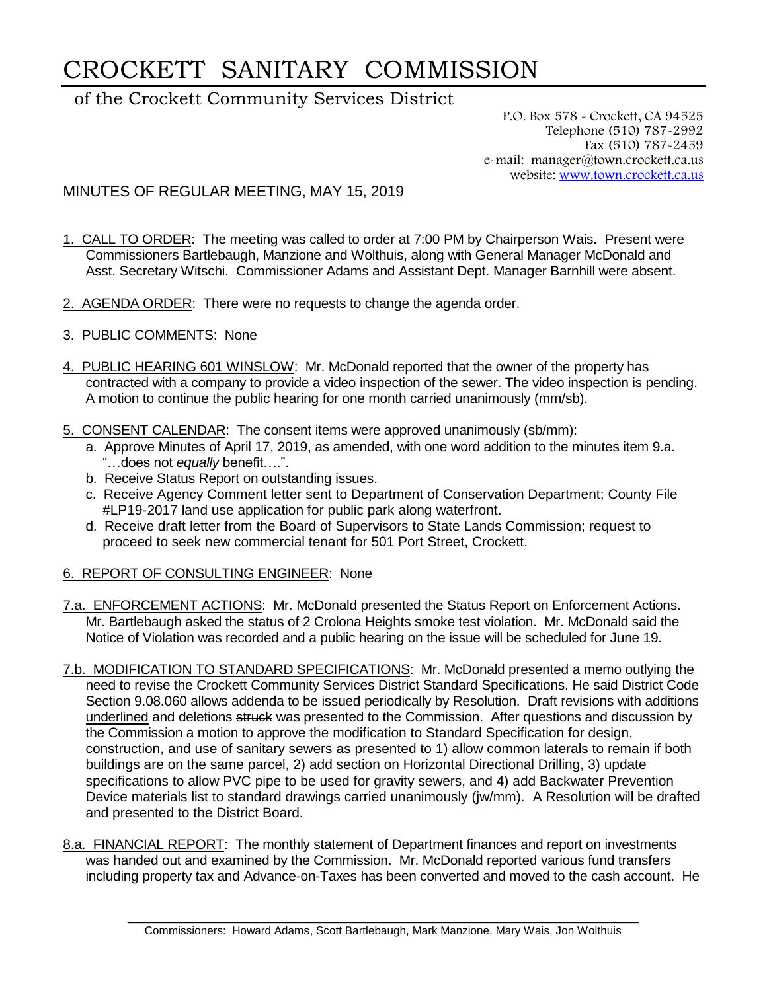## CROCKETT SANITARY COMMISSION

## of the Crockett Community Services District

P.O. Box 578 - Crockett, CA 94525 Telephone (510) 787-2992 Fax (510) 787-2459 e-mail: manager@town.crockett.ca.us website: [www.town.crockett.ca.us](http://www.town.crockett.ca.us/)

## MINUTES OF REGULAR MEETING, MAY 15, 2019

- 1. CALL TO ORDER: The meeting was called to order at 7:00 PM by Chairperson Wais. Present were Commissioners Bartlebaugh, Manzione and Wolthuis, along with General Manager McDonald and Asst. Secretary Witschi. Commissioner Adams and Assistant Dept. Manager Barnhill were absent.
- 2. AGENDA ORDER: There were no requests to change the agenda order.
- 3. PUBLIC COMMENTS: None
- 4. PUBLIC HEARING 601 WINSLOW: Mr. McDonald reported that the owner of the property has contracted with a company to provide a video inspection of the sewer. The video inspection is pending. A motion to continue the public hearing for one month carried unanimously (mm/sb).
- 5. CONSENT CALENDAR: The consent items were approved unanimously (sb/mm):
	- a. Approve Minutes of April 17, 2019, as amended, with one word addition to the minutes item 9.a. "…does not *equally* benefit….".
	- b. Receive Status Report on outstanding issues.
	- c. Receive Agency Comment letter sent to Department of Conservation Department; County File #LP19-2017 land use application for public park along waterfront.
	- d. Receive draft letter from the Board of Supervisors to State Lands Commission; request to proceed to seek new commercial tenant for 501 Port Street, Crockett.
- 6. REPORT OF CONSULTING ENGINEER: None
- 7.a. ENFORCEMENT ACTIONS: Mr. McDonald presented the Status Report on Enforcement Actions. Mr. Bartlebaugh asked the status of 2 Crolona Heights smoke test violation. Mr. McDonald said the Notice of Violation was recorded and a public hearing on the issue will be scheduled for June 19.
- 7.b. MODIFICATION TO STANDARD SPECIFICATIONS: Mr. McDonald presented a memo outlying the need to revise the Crockett Community Services District Standard Specifications. He said District Code Section 9.08.060 allows addenda to be issued periodically by Resolution. Draft revisions with additions underlined and deletions struck was presented to the Commission. After questions and discussion by the Commission a motion to approve the modification to Standard Specification for design, construction, and use of sanitary sewers as presented to 1) allow common laterals to remain if both buildings are on the same parcel, 2) add section on Horizontal Directional Drilling, 3) update specifications to allow PVC pipe to be used for gravity sewers, and 4) add Backwater Prevention Device materials list to standard drawings carried unanimously (jw/mm). A Resolution will be drafted and presented to the District Board.
- 8.a. FINANCIAL REPORT: The monthly statement of Department finances and report on investments was handed out and examined by the Commission. Mr. McDonald reported various fund transfers including property tax and Advance-on-Taxes has been converted and moved to the cash account. He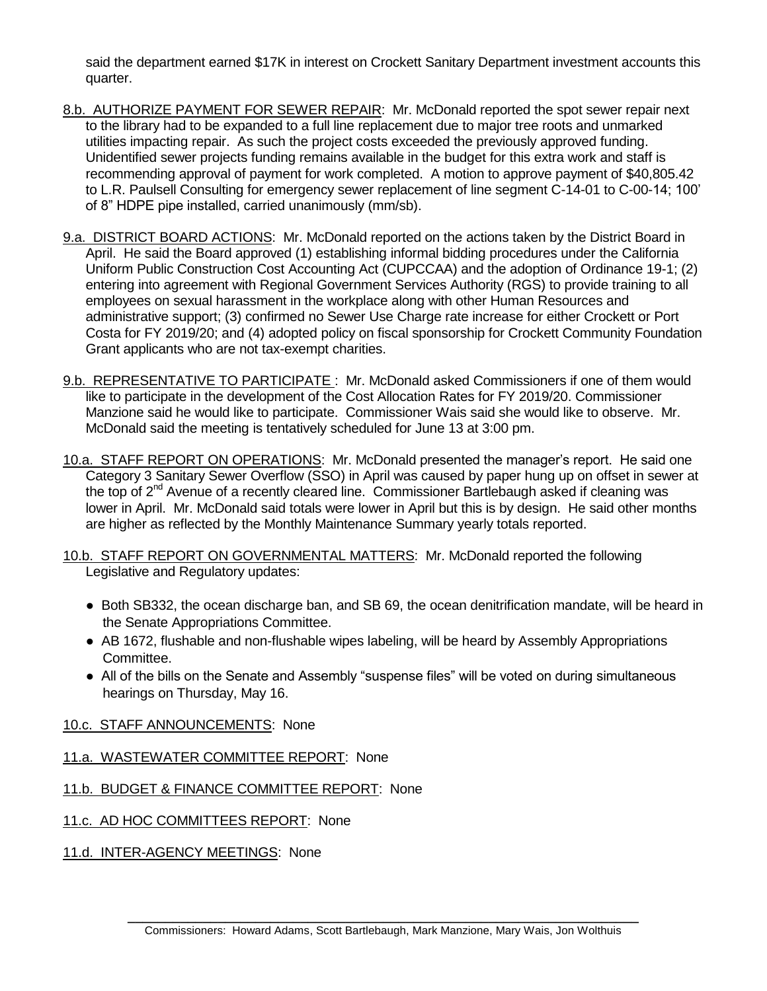said the department earned \$17K in interest on Crockett Sanitary Department investment accounts this quarter.

- 8.b. AUTHORIZE PAYMENT FOR SEWER REPAIR: Mr. McDonald reported the spot sewer repair next to the library had to be expanded to a full line replacement due to major tree roots and unmarked utilities impacting repair. As such the project costs exceeded the previously approved funding. Unidentified sewer projects funding remains available in the budget for this extra work and staff is recommending approval of payment for work completed. A motion to approve payment of \$40,805.42 to L.R. Paulsell Consulting for emergency sewer replacement of line segment C-14-01 to C-00-14; 100' of 8" HDPE pipe installed, carried unanimously (mm/sb).
- 9.a. DISTRICT BOARD ACTIONS: Mr. McDonald reported on the actions taken by the District Board in April. He said the Board approved (1) establishing informal bidding procedures under the California Uniform Public Construction Cost Accounting Act (CUPCCAA) and the adoption of Ordinance 19-1; (2) entering into agreement with Regional Government Services Authority (RGS) to provide training to all employees on sexual harassment in the workplace along with other Human Resources and administrative support; (3) confirmed no Sewer Use Charge rate increase for either Crockett or Port Costa for FY 2019/20; and (4) adopted policy on fiscal sponsorship for Crockett Community Foundation Grant applicants who are not tax-exempt charities.
- 9.b. REPRESENTATIVE TO PARTICIPATE : Mr. McDonald asked Commissioners if one of them would like to participate in the development of the Cost Allocation Rates for FY 2019/20. Commissioner Manzione said he would like to participate. Commissioner Wais said she would like to observe. Mr. McDonald said the meeting is tentatively scheduled for June 13 at 3:00 pm.
- 10.a. STAFF REPORT ON OPERATIONS: Mr. McDonald presented the manager's report. He said one Category 3 Sanitary Sewer Overflow (SSO) in April was caused by paper hung up on offset in sewer at the top of  $2^{nd}$  Avenue of a recently cleared line. Commissioner Bartlebaugh asked if cleaning was lower in April. Mr. McDonald said totals were lower in April but this is by design. He said other months are higher as reflected by the Monthly Maintenance Summary yearly totals reported.
- 10.b. STAFF REPORT ON GOVERNMENTAL MATTERS: Mr. McDonald reported the following Legislative and Regulatory updates:
	- Both SB332, the ocean discharge ban, and SB 69, the ocean denitrification mandate, will be heard in the Senate Appropriations Committee.
	- AB 1672, flushable and non-flushable wipes labeling, will be heard by Assembly Appropriations Committee.
	- All of the bills on the Senate and Assembly "suspense files" will be voted on during simultaneous hearings on Thursday, May 16.
- 10.c. STAFF ANNOUNCEMENTS: None
- 11.a. WASTEWATER COMMITTEE REPORT: None
- 11.b. BUDGET & FINANCE COMMITTEE REPORT: None
- 11.c. AD HOC COMMITTEES REPORT: None

11.d. INTER-AGENCY MEETINGS: None